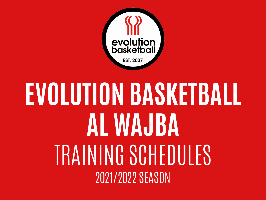

# **EVOLUTION BASKETBALL AL WAJBA** TRAINING SCHEDULES 2021/2022 SEASON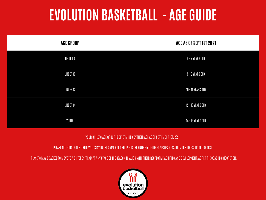# **EVOLUTION BASKETBALL - AGE GUIDE**

| <b>AGE GROUP</b> | AGE AS OF SEPT 1ST 2021 |
|------------------|-------------------------|
| UNDER 8          | 6 - 7 YEARS OLD         |
| UNDER 10         | 8 - 9 YEARS OLD         |
| UNDER 12         | 10 - 11 YEARS OLD       |
| UNDER 14         | 12 - 13 YEARS OLD       |
| YOUTH            | 14 - 18 YEARS OLD       |

#### YOUR CHILD'S AGE GROUP IS DETERMINED BY THEIR AGE AS OF SEPTEMBER 1ST, 2021.

PLEASE NOTE THAT YOUR CHILD WILL STAY IN THE SAME AGE GROUP FOR THE ENTIRETY OF THE 2021/2022 SEASON (MUCH LIKE SCHOOL GRADES).

PLAYERS MAY BE ASKED TO MOVE TO A DIFFERENT TEAM AT ANY STAGE OF THE SEASON TO ALIGN WITH THEIR RESPECTIVE ABILITIES AND DEVELOPMENT, AS PER THE COACHES DISCRETION.

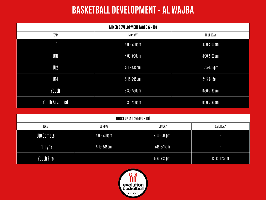## **BASKETBALL DEVELOPMENT - AL WAJBA**

| <b>MIXED DEVELOPMENT (AGED 6 - 18)</b> |  |                                                          |                |                            |                            |  |
|----------------------------------------|--|----------------------------------------------------------|----------------|----------------------------|----------------------------|--|
| TEAM                                   |  | MONDAY                                                   |                | THURSDAY                   |                            |  |
| U8                                     |  | $4:00 - 5:00 \, \text{pm}$                               |                | $4:00 - 5:00 \, \text{pm}$ |                            |  |
| U10                                    |  | $4:00 - 5:00 \, \text{pm}$                               |                |                            | $4:00 - 5:00 \, \text{pm}$ |  |
| U12                                    |  | $5:15 - 6:15$ pm                                         |                | $5:15 - 6:15$ pm           |                            |  |
| U14                                    |  | $5:15-6:15$ pm                                           |                | $5:15-6:15$ pm             |                            |  |
| Youth                                  |  | $6:30 - 7:30$ pm                                         |                | $6:30 - 7:30 \, \text{pm}$ |                            |  |
| <b>Youth Advanced</b>                  |  | $6:30 - 7:30$ pm                                         |                |                            | $6:30-7:30$ pm             |  |
|                                        |  |                                                          |                |                            |                            |  |
| <b>GIRLS ONLY (AGED 6 - 18)</b>        |  |                                                          |                |                            |                            |  |
| <b>TEAM</b>                            |  | SUNDAY<br>TUESDAY                                        |                |                            | SATURDAY                   |  |
| <b>U10 Comets</b>                      |  | $4:00 - 5:00 \, \text{pm}$<br>$4:00 - 5:00 \, \text{pm}$ |                |                            | o,                         |  |
| U13 Lynx                               |  | $5:15-6:15$ pm<br>$5:15-6:15$ pm                         |                |                            | J.                         |  |
| Youth Fire                             |  | J                                                        | $6:30-7:30$ pm |                            | $12:45-1:45$ pm            |  |

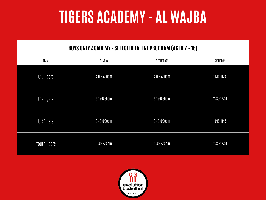# **TIGERS ACADEMY - AL WAJBA**

#### **BOYS ONLY ACADEMY - SELECTED TALENT PROGRAM (AGED 7 - 18)**

| TEAM         | SUNDAY                     | WEDNESDAY                  | SATURDAY        |
|--------------|----------------------------|----------------------------|-----------------|
| U10 Tigers   | $4:00 - 5:00 \, \text{pm}$ | $4:00 - 5:00 \, \text{pm}$ | $10:15 - 11:15$ |
| U12 Tigers   | $5:15 - 6:30$ pm           | $5:15 - 6:30$ pm           | $11:30-12:30$   |
| U14 Tigers   | $6:45 - 8:00 \, \text{pm}$ | $6:45 - 8:00 \, \text{pm}$ | $10:15 - 11:15$ |
| Youth Tigers | $6:45-8:15 \, \text{pm}$   | $6:45-8:15 \, \text{pm}$   | $11:30-12:30$   |